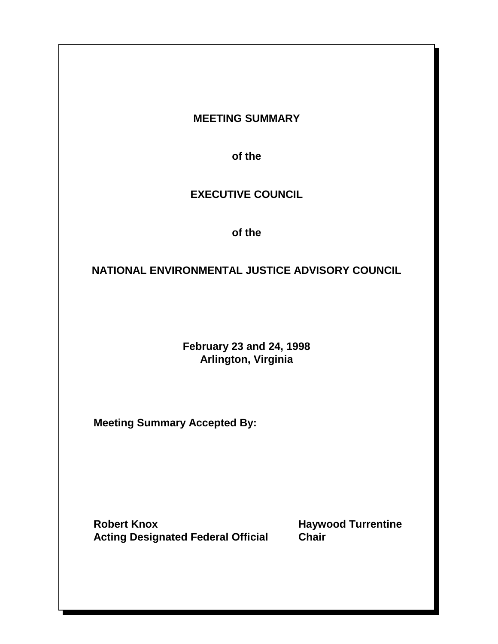### **MEETING SUMMARY**

**of the**

### **EXECUTIVE COUNCIL**

**of the**

### **NATIONAL ENVIRONMENTAL JUSTICE ADVISORY COUNCIL**

**February 23 and 24, 1998 Arlington, Virginia** 

**Meeting Summary Accepted By:** 

**Robert Knox <b>Haywood Turrentine Acting Designated Federal Official Chair**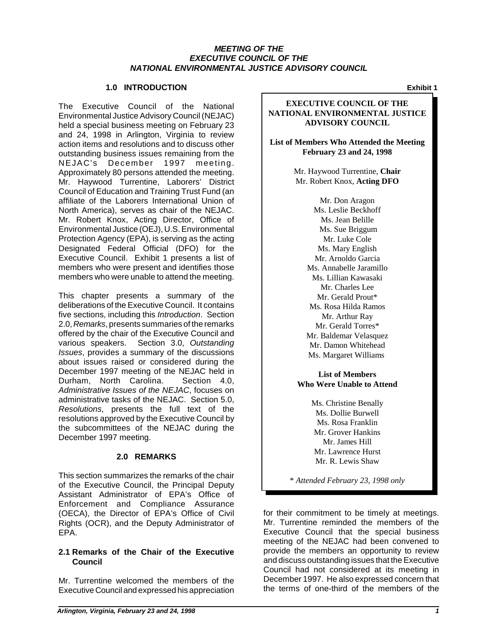### *MEETING OF THE EXECUTIVE COUNCIL OF THE NATIONAL ENVIRONMENTAL JUSTICE ADVISORY COUNCIL*

### **1.0 INTRODUCTION**

The Executive Council of the National Environmental Justice Advisory Council (NEJAC) held a special business meeting on February 23 and 24, 1998 in Arlington, Virginia to review action items and resolutions and to discuss other outstanding business issues remaining from the NEJAC's December 1997 meeting. Approximately 80 persons attended the meeting. Mr. Haywood Turrentine, Laborers' District Council of Education and Training Trust Fund (an affiliate of the Laborers International Union of North America), serves as chair of the NEJAC. Mr. Robert Knox, Acting Director, Office of Environmental Justice (OEJ), U.S. Environmental Protection Agency (EPA), is serving as the acting Designated Federal Official (DFO) for the Executive Council. Exhibit 1 presents a list of members who were present and identifies those members who were unable to attend the meeting.

This chapter presents a summary of the deliberations of the Executive Council. It contains five sections, including this *Introduction*. Section 2.0, *Remarks*, presents summaries of the remarks offered by the chair of the Executive Council and various speakers. Section 3.0, *Outstanding Issues*, provides a summary of the discussions about issues raised or considered during the December 1997 meeting of the NEJAC held in Durham, North Carolina. Section 4.0, *Administrative Issues of the NEJAC*, focuses on administrative tasks of the NEJAC. Section 5.0, *Resolutions*, presents the full text of the resolutions approved by the Executive Council by the subcommittees of the NEJAC during the December 1997 meeting.

### **2.0 REMARKS**

This section summarizes the remarks of the chair of the Executive Council, the Principal Deputy Assistant Administrator of EPA's Office of Enforcement and Compliance Assurance (OECA), the Director of EPA's Office of Civil Rights (OCR), and the Deputy Administrator of EPA.

### **2.1 Remarks of the Chair of the Executive Council**

Mr. Turrentine welcomed the members of the Executive Council and expressed his appreciation

**Exhibit 1** 

### **EXECUTIVE COUNCIL OF THE NATIONAL ENVIRONMENTAL JUSTICE ADVISORY COUNCIL**

**List of Members Who Attended the Meeting February 23 and 24, 1998** 

> Mr. Haywood Turrentine, **Chair**  Mr. Robert Knox, **Acting DFO**

> > Mr. Don Aragon Ms. Leslie Beckhoff Ms. Jean Belille Ms. Sue Briggum Mr. Luke Cole Ms. Mary English Mr. Arnoldo Garcia Ms. Annabelle Jaramillo Ms. Lillian Kawasaki Mr. Charles Lee Mr. Gerald Prout\* Ms. Rosa Hilda Ramos Mr. Arthur Ray Mr. Gerald Torres\* Mr. Baldemar Velasquez Mr. Damon Whitehead Ms. Margaret Williams

**List of Members Who Were Unable to Attend**

> Ms. Christine Benally Ms. Dollie Burwell Ms. Rosa Franklin Mr. Grover Hankins Mr. James Hill Mr. Lawrence Hurst Mr. R. Lewis Shaw

\* *Attended February 23, 1998 only* 

for their commitment to be timely at meetings. Mr. Turrentine reminded the members of the Executive Council that the special business meeting of the NEJAC had been convened to provide the members an opportunity to review and discuss outstanding issues that the Executive Council had not considered at its meeting in December 1997. He also expressed concern that the terms of one-third of the members of the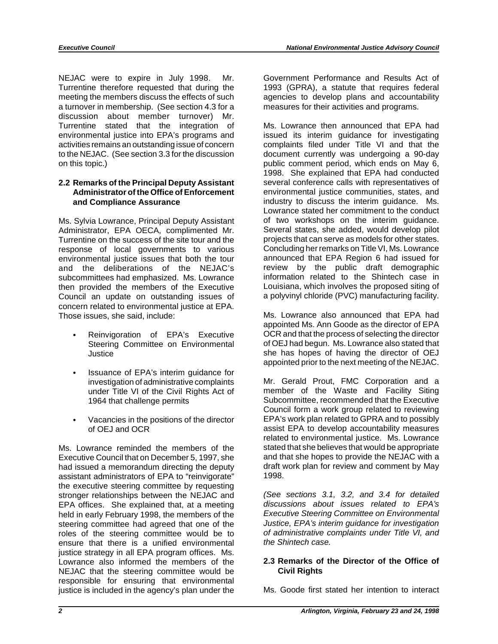NEJAC were to expire in July 1998. Mr. Government Performance and Results Act of Turrentine therefore requested that during the 1993 (GPRA), a statute that requires federal meeting the members discuss the effects of such agencies to develop plans and accountability a turnover in membership. (See section 4.3 for a measures for their activities and programs. discussion about member turnover) Mr. Turrentine stated that the integration of Ms. Lowrance then announced that EPA had environmental justice into EPA's programs and issued its interim guidance for investigating activities remains an outstanding issue of concern complaints filed under Title VI and that the to the NEJAC. (See section 3.3 for the discussion document currently was undergoing a 90-day on this topic.) public comment period, which ends on May 6,

# **2.2 Remarks of the Principal Deputy Assistant** several conference calls with representatives of

Administrator, EPA OECA, complimented Mr. Several states, she added, would develop pilot<br>Turrentine on the success of the site tour and the projects that can serve as models for other states. Turrentine on the success of the site tour and the projects that can serve as models for other states.<br>
Fesponse of local governments to various Concluding her remarks on Title VI, Ms. Lowrance response of local governments to various Concluding her remarks on Title VI, Ms. Lowrance<br>
environmental justice issues that both the tour announced that EPA Region 6 had issued for environmental justice issues that both the tour and the deliberations of the NEJAC's and the public draft demographic<br>subcommittees hademphasized Ms Lowrance and information related to the Shintech case in subcommittees had emphasized. Ms. Lowrance information related to the Shintech case in<br>then provided the members of the Executive Louisiana, which involves the proposed siting of then provided the members of the Executive Louisiana, which involves the proposed siting of Council an update on outstanding issues of a polyvinyl chloride (PVC) manufacturing facility. Council an update on outstanding issues of concern related to environmental justice at EPA. Those issues, she said, include: Ms. Lowrance also announced that EPA had

- 
- ` Issuance of EPA's interim guidance for under Title VI of the Civil Rights Act of
- 

Ms. Lowrance reminded the members of the stated that she believes that would be appropriate<br>Executive Council that on December 5, 1997, she and that she hopes to provide the NEJAC with a Executive Council that on December 5, 1997, she and that she hopes to provide the NEJAC with a<br>had issued a memorandum directing the deputy draft work plan for review and comment by May had issued a memorandum directing the deputy draft v<br>assistant administrators of EPA to "reinvigorate" 1998. assistant administrators of EPA to "reinvigorate" the executive steering committee by requesting stronger relationships between the NEJAC and *(See sections 3.1, 3.2, and 3.4 for detailed* EPA offices. She explained that, at a meeting *discussions about issues related to EPA's*  held in early February 1998, the members of the *Executive Steering Committee on Environmental*<br>steering committee had agreed that one of the *Justice, EPA's interim guidance for investigation* steering committee had agreed that one of the *Justice, EPA's interim guidance for investigation*  roles of the steering committee would be to *of administrative complainty* of *a property n n s index there is a unified environmental the Shintech case* ensure that there is a unified environmental justice strategy in all EPA program offices. Ms. Lowrance also informed the members of the **2.3 Remarks of the Director of the Office of** NEJAC that the steering committee would be **Civil Rights** responsible for ensuring that environmental justice is included in the agency's plan under the Ms. Goode first stated her intention to interact

1998. She explained that EPA had conducted **Administrator of the Office of Enforcement** environmental justice communities, states, and **and Compliance Assurance** industry to discuss the interim guidance. Ms. Lowrance stated her commitment to the conduct Ms. Sylvia Lowrance, Principal Deputy Assistant of two workshops on the interim guidance.<br>Administrator. EPA OECA. complimented Mr. Several states, she added, would develop pilot

appointed Ms. Ann Goode as the director of EPA Reinvigoration of EPA's Executive OCR and that the process of selecting the director Steering Committee on Environmental of OEJ had begun. Ms. Lowrance also stated that Justice she has hopes of having the director of OEJ appointed prior to the next meeting of the NEJAC.

investigation of administrative complaints Mr. Gerald Prout, FMC Corporation and a 1964 that challenge permits Subcommittee, recommended that the Executive Council form a work group related to reviewing ` Vacancies in the positions of the director EPA's work plan related to GPRA and to possibly of OEJ and OCR **and COV** assist EPA to develop accountability measures related to environmental justice. Ms. Lowrance<br>stated that she believes that would be appropriate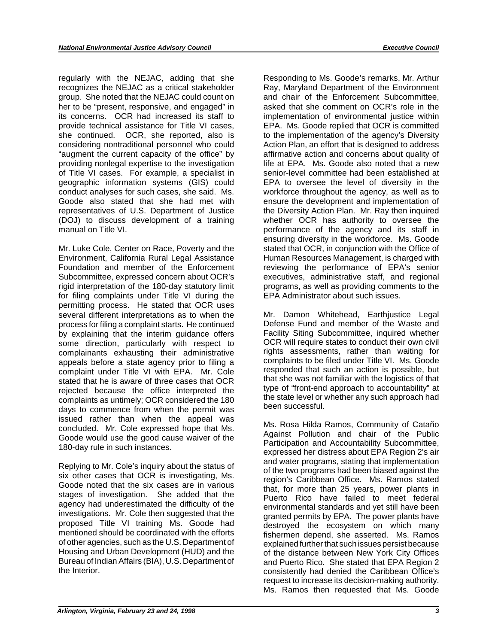regularly with the NEJAC, adding that she recognizes the NEJAC as a critical stakeholder group. She noted that the NEJAC could count on her to be "present, responsive, and engaged" in its concerns. OCR had increased its staff to provide technical assistance for Title VI cases, she continued. OCR, she reported, also is considering nontraditional personnel who could "augment the current capacity of the office" by providing nonlegal expertise to the investigation of Title VI cases. For example, a specialist in geographic information systems (GIS) could conduct analyses for such cases, she said. Ms. Goode also stated that she had met with representatives of U.S. Department of Justice (DOJ) to discuss development of a training manual on Title VI.

Mr. Luke Cole, Center on Race, Poverty and the Environment, California Rural Legal Assistance Foundation and member of the Enforcement Subcommittee, expressed concern about OCR's rigid interpretation of the 180-day statutory limit for filing complaints under Title VI during the permitting process. He stated that OCR uses several different interpretations as to when the process for filing a complaint starts. He continued by explaining that the interim guidance offers some direction, particularly with respect to complainants exhausting their administrative appeals before a state agency prior to filing a complaint under Title VI with EPA. Mr. Cole stated that he is aware of three cases that OCR rejected because the office interpreted the complaints as untimely; OCR considered the 180 days to commence from when the permit was issued rather than when the appeal was concluded. Mr. Cole expressed hope that Ms. Goode would use the good cause waiver of the 180-day rule in such instances.

Replying to Mr. Cole's inquiry about the status of six other cases that OCR is investigating, Ms. Goode noted that the six cases are in various stages of investigation. She added that the agency had underestimated the difficulty of the investigations. Mr. Cole then suggested that the proposed Title VI training Ms. Goode had mentioned should be coordinated with the efforts of other agencies, such as the U.S. Department of Housing and Urban Development (HUD) and the Bureau of Indian Affairs (BIA), U.S. Department of the Interior.

Responding to Ms. Goode's remarks, Mr. Arthur Ray, Maryland Department of the Environment and chair of the Enforcement Subcommittee, asked that she comment on OCR's role in the implementation of environmental justice within EPA. Ms. Goode replied that OCR is committed to the implementation of the agency's Diversity Action Plan, an effort that is designed to address affirmative action and concerns about quality of life at EPA. Ms. Goode also noted that a new senior-level committee had been established at EPA to oversee the level of diversity in the workforce throughout the agency, as well as to ensure the development and implementation of the Diversity Action Plan. Mr. Ray then inquired whether OCR has authority to oversee the performance of the agency and its staff in ensuring diversity in the workforce. Ms. Goode stated that OCR, in conjunction with the Office of Human Resources Management, is charged with reviewing the performance of EPA's senior executives, administrative staff, and regional programs, as well as providing comments to the EPA Administrator about such issues.

Mr. Damon Whitehead, Earthjustice Legal Defense Fund and member of the Waste and Facility Siting Subcommittee, inquired whether OCR will require states to conduct their own civil rights assessments, rather than waiting for complaints to be filed under Title VI. Ms. Goode responded that such an action is possible, but that she was not familiar with the logistics of that type of "front-end approach to accountability" at the state level or whether any such approach had been successful.

Ms. Rosa Hilda Ramos, Community of Cataño Against Pollution and chair of the Public Participation and Accountability Subcommittee, expressed her distress about EPA Region 2's air and water programs, stating that implementation of the two programs had been biased against the region's Caribbean Office. Ms. Ramos stated that, for more than 25 years, power plants in Puerto Rico have failed to meet federal environmental standards and yet still have been granted permits by EPA. The power plants have destroyed the ecosystem on which many fishermen depend, she asserted. Ms. Ramos explained further that such issues persist because of the distance between New York City Offices and Puerto Rico. She stated that EPA Region 2 consistently had denied the Caribbean Office's request to increase its decision-making authority. Ms. Ramos then requested that Ms. Goode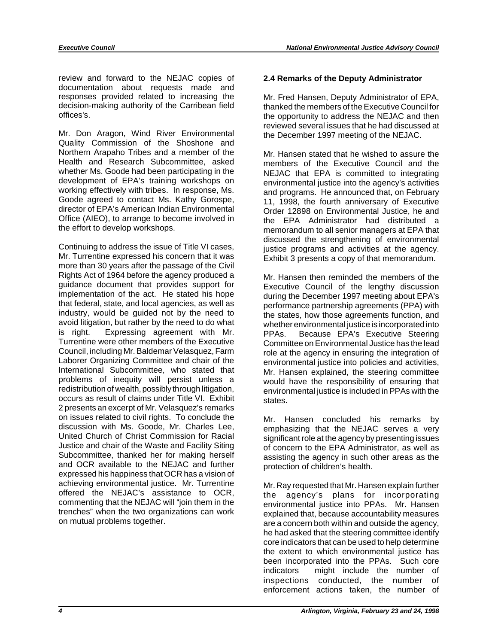review and forward to the NEJAC copies of **2.4 Remarks of the Deputy Administrator**  documentation about requests made and responses provided related to increasing the Mr. Fred Hansen, Deputy Administrator of EPA, decision-making authority of the Carribean field thanked the members of the Executive Council for decision-making authority of the Carribean field thanked the members of the Executive Council for<br>offices's.

Mr. Don Aragon, Wind River Environmental the December 1997 meeting of the NEJAC. Quality Commission of the Shoshone and Northern Arapaho Tribes and a member of the Mr. Hansen stated that he wished to assure the Health and Research Subcommittee, asked members of the Executive Council and the whether Ms. Goode had been participating in the NEJAC that FPA is committed to integrating whether Ms. Goode had been participating in the NEJAC that EPA is committed to integrating development of EPA's training workshops on environmental justice into the agency's activities working effectively with tribes. In r working effectively with tribes. In response, Ms. and programs. He announced that, on February Goode agreed to contact Ms. Kathy Gorospe, 11, 1998, the fourth anniversary of Executive director of FPA's American Indian Fnvi director of EPA's American Indian Environmental Critical Order 12898 on Environmental Justice, he and<br>Office (AIEO), to arrange to become involved in The TPA Administrator had distributed a Office (AIEO), to arrange to become involved in the EPA Administrator had distributed a<br>the effort to develop workshops.

Continuing to address the issue of Title VI cases,<br>
Mr. Turrentine expressed his concern that it was<br>
more than 30 years after the passage of the Civil<br>
Exhibit 3 presents a copy of that memorandum. Rights Act of 1964 before the agency produced a Mr. Hansen then reminded the members of the guidance document that provides support for Executive Council of the lengthy discussion guidance document that provides support for Executive Council of the lengthy discussion<br>implementation of the act. He stated his hope during the December 1997 meeting about EPA's implementation of the act. He stated his hope during the December 1997 meeting about EPA's<br>that federal, state, and local agencies, as well as energy performance partnership agreements (PPA) with that federal, state, and local agencies, as well as performance partnership agreements (PPA) with industry, would be guided not by the need to the states, how those agreements function, and avoid litigation, but rather by avoid litigation, but rather by the need to do what whether environmental justice is incorporated into<br>is right. Expressing agreement with Mr. PPAs Because FPA's Executive Steering is right. Expressing agreement with Mr. PPAs. Because EPA's Executive Steering<br>Turrentine were other members of the Executive Committee on Environmental Justice has the lead<br>Council, including Mr. Baldemar Velasquez, Farm Council, including Mr. Baldemar Velasquez, Farm entity role at the agency in ensuring the integration of Laborer Criganizing Committee and chair of the environmental justice into policies and activities Laborer Organizing Committee and chair of the environmental justice into policies and activities,<br>International Subcommittee, who stated that Mr. Hansen explained, the steering committee International Subcommittee, who stated that Mr. Hansen explained, the steering committee<br>International Subcommittee, who stated that Mr. Hansen explained, the steering committee problems of inequity will persist unless a would have the responsibility of ensuring that redistribution of wealth, possibly through litigation, environmental justice is included in PPAs with the  $occurs$  as result of claims under Title VI. Exhibit states. 2 presents an excerpt of Mr. Velasquez's remarks on issues related to civil rights. To conclude the Mr. Hansen concluded his remarks by discussion with Ms. Goode, Mr. Charles Lee, United Church of Christ Commission for Racial Justice and chair of the Waste and Facility S Subcommittee, thanked her for making herself assisting the agency in such other areas as the and OCR available to the NEJAC and further protection of children's health and OCR available to the NEJAC and further protection of children's health.<br>expressed his happiness that OCR has a vision of achieving environmental justice. Mr. Turrentine Mr. Ray requested that Mr. Hansen explain further<br>offered the NEJAC's assistance to OCR, the agency's plans for incorporating offered the NEJAC's assistance to OCR, the agency's plans for incorporating commenting that the NEJAC will "join them in the environmental justice into PPAs. Mr. Hansen commenting that the NEJAC will "join them in the environmental justice into PPAs. Mr. Hansen<br>trenches" when the two organizations can work explained that because accountability measures trenches" when the two organizations can work explained that, because accountability measures<br>on mutual problems together.

the opportunity to address the NEJAC and then reviewed several issues that he had discussed at

memorandum to all senior managers at EPA that discussed the strengthening of environmental

environmental justice is included in PPAs with the

are a concern both within and outside the agency, he had asked that the steering committee identify core indicators that can be used to help determine the extent to which environmental justice has been incorporated into the PPAs. Such core indicators might include the number of inspections conducted, the number of enforcement actions taken, the number of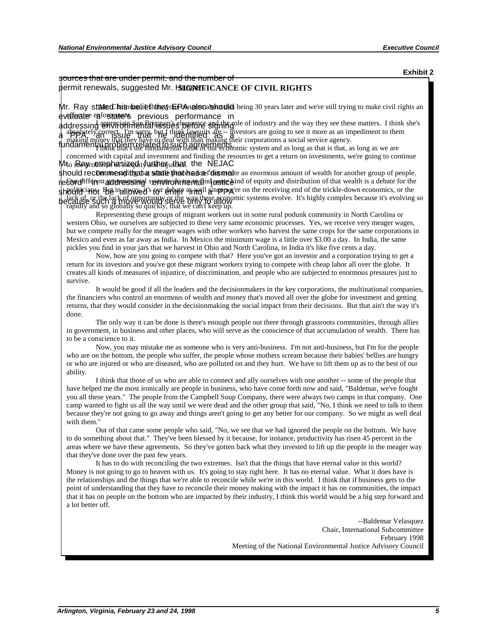**Exhibit 2** 

sources that are under permit, and the number of permit renewals, suggested Mr. Hansen. **SIGNIFICANCE OF CIVIL RIGHTS** 

Mr. Ray sta ted his nbelie ththat of Renats oals hould being 30 years later and we're still trying to make civil rights an eveffective enforcements previous performance in

and the same of the processing and the set of the set of the set of the set of the set of the set of the set of the set of the set of the set of the set of the set of the set of the set of the set of the set of the set of

concerned with capital and investment and finding the resources to get a return on investments, we're going to continue Mro Reyro emphasize dityunthenjushest. the NEJAC

should recommenditizate state that sadas "dismelte an enormous amount of wealth for another group of people. the difficians. But in allowed's four dehate a model since pope is on the receiving end of the trickle-down economics, or the e Cordifferent government systemic dim from the some field of equity and distribution of that wealth is a debate for the ecall of the lacking of the lacking of the lacking of the lacking of the lacking of the lacking solution of the lacking solution of the lacking solution of the value of the value of the value of the value of the value of t

Representing these groups of migrant workers out in some rural podunk community in North Carolina or western Ohio, we ourselves are subjected to these very same economic processes. Yes, we receive very meager wages, but we compete really for the meager wages with other workers who harvest the same crops for the same corporations in Mexico and even as far away as India. In Mexico the minimum wage is a little over \$3.00 a day. In India, the same pickles you find in your jars that we harvest in Ohio and North Carolina, in India it's like five cents a day.

Now, how are you going to compete with that? Here you've got an investor and a corporation trying to get a return for its investors and you've got these migrant workers trying to compete with cheap labor all over the globe. It creates all kinds of measures of injustice, of discrimination, and people who are subjected to enormous pressures just to survive.

It would be good if all the leaders and the decisionmakers in the key corporations, the multinational companies, the financiers who control an enormous of wealth and money that's moved all over the globe for investment and getting returns, that they would consider in the decisionmaking the social impact from their decisions. But that ain't the way it's done.

The only way it can be done is there's enough people out there through grassroots communities, through allies in government, in business and other places, who will serve as the conscience of that accumulation of wealth. There has to be a conscience to it.

Now, you may mistake me as someone who is very anti-business. I'm not anti-business, but I'm for the people who are on the bottom, the people who suffer, the people whose mothers scream because their babies' bellies are hungry or who are injured or who are diseased, who are polluted on and they hurt. We have to lift them up as to the best of our ability.

I think that those of us who are able to connect and ally ourselves with one another -- some of the people that have helped me the most ironically are people in business, who have come forth now and said, "Baldemar, we've fought you all these years." The people from the Campbell Soup Company, there were always two camps in that company. One camp wanted to fight us all the way until we were dead and the other group that said, "No, I think we need to talk to them because they're not going to go away and things aren't going to get any better for our company. So we might as well deal with them."

Out of that came some people who said, "No, we see that we had ignored the people on the bottom. We have to do something about that." They've been blessed by it because, for instance, productivity has risen 45 percent in the areas where we have these agreements. So they've gotten back what they invested to lift up the people in the meager way that they've done over the past few years.

It has to do with reconciling the two extremes. Isn't that the things that have eternal value in this world? Money is not going to go to heaven with us. It's going to stay right here. It has no eternal value. What it does have is the relationships and the things that we're able to reconcile while we're in this world. I think that if business gets to the point of understanding that they have to reconcile their money making with the impact it has on communities, the impact that it has on people on the bottom who are impacted by their industry, I think this world would be a big step forward and a lot better off.

> --Baldemar Velasquez Chair, International Subcommittee February 1998 Meeting of the National Environmental Justice Advisory Council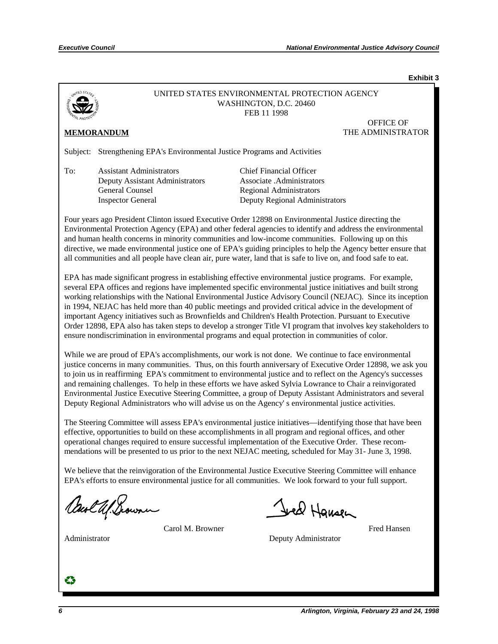**Exhibit 3**



### UNITED STATES ENVIRONMENTAL PROTECTION AGENCY WASHINGTON, D.C. 20460 FEB 11 1998

OFFICE OF **MEMORANDUM** THE ADMINISTRATOR

Subject: Strengthening EPA's Environmental Justice Programs and Activities

To: Assistant Administrators Chief Financial Officer Deputy Assistant Administrators Associate .Administrators General Counsel Regional Administrators

Inspector General Deputy Regional Administrators

Four years ago President Clinton issued Executive Order 12898 on Environmental Justice directing the Environmental Protection Agency (EPA) and other federal agencies to identify and address the environmental and human health concerns in minority communities and low-income communities. Following up on this directive, we made environmental justice one of EPA's guiding principles to help the Agency better ensure that all communities and all people have clean air, pure water, land that is safe to live on, and food safe to eat.

EPA has made significant progress in establishing effective environmental justice programs. For example, several EPA offices and regions have implemented specific environmental justice initiatives and built strong working relationships with the National Environmental Justice Advisory Council (NEJAC). Since its inception in 1994, NEJAC has held more than 40 public meetings and provided critical advice in the development of important Agency initiatives such as Brownfields and Children's Health Protection. Pursuant to Executive Order 12898, EPA also has taken steps to develop a stronger Title VI program that involves key stakeholders to ensure nondiscrimination in environmental programs and equal protection in communities of color.

While we are proud of EPA's accomplishments, our work is not done. We continue to face environmental justice concerns in many communities. Thus, on this fourth anniversary of Executive Order 12898, we ask you to join us in reaffirming EPA's commitment to environmental justice and to reflect on the Agency's successes and remaining challenges. To help in these efforts we have asked Sylvia Lowrance to Chair a reinvigorated Environmental Justice Executive Steering Committee, a group of Deputy Assistant Administrators and several Deputy Regional Administrators who will advise us on the Agency' s environmental justice activities.

The Steering Committee will assess EPA's environmental justice initiatives—identifying those that have been effective, opportunities to build on these accomplishments in all program and regional offices, and other operational changes required to ensure successful implementation of the Executive Order. These recommendations will be presented to us prior to the next NEJAC meeting, scheduled for May 31- June 3, 1998.

We believe that the reinvigoration of the Environmental Justice Executive Steering Committee will enhance EPA's efforts to ensure environmental justice for all communities. We look forward to your full support.

Carl Ul. Scouni

Carol M. Browner Fred Hansen

Administrator Deputy Administrator Deputy Administrator

Jeel Hansen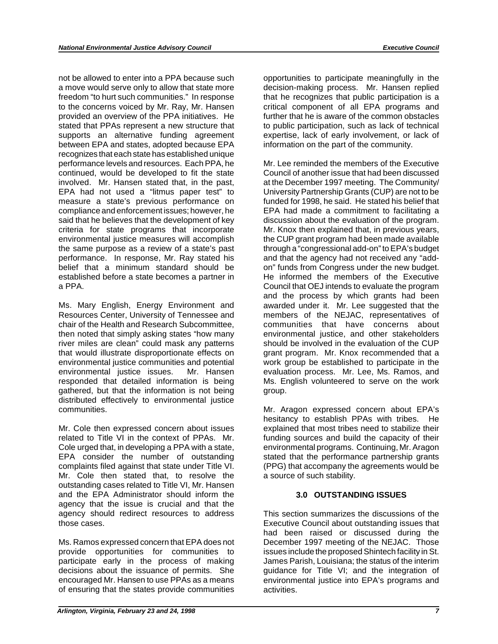not be allowed to enter into a PPA because such a move would serve only to allow that state more freedom "to hurt such communities." In response to the concerns voiced by Mr. Ray, Mr. Hansen provided an overview of the PPA initiatives. He stated that PPAs represent a new structure that supports an alternative funding agreement between EPA and states, adopted because EPA recognizes that each state has established unique performance levels and resources. Each PPA, he continued, would be developed to fit the state involved. Mr. Hansen stated that, in the past, EPA had not used a "litmus paper test" to measure a state's previous performance on compliance and enforcement issues; however, he said that he believes that the development of key criteria for state programs that incorporate environmental justice measures will accomplish the same purpose as a review of a state's past performance. In response, Mr. Ray stated his belief that a minimum standard should be established before a state becomes a partner in a PPA.

Ms. Mary English, Energy Environment and Resources Center, University of Tennessee and chair of the Health and Research Subcommittee, then noted that simply asking states "how many river miles are clean" could mask any patterns that would illustrate disproportionate effects on environmental justice communities and potential environmental justice issues. Mr. Hansen responded that detailed information is being gathered, but that the information is not being distributed effectively to environmental justice communities.

Mr. Cole then expressed concern about issues related to Title VI in the context of PPAs. Mr. Cole urged that, in developing a PPA with a state, EPA consider the number of outstanding complaints filed against that state under Title VI. Mr. Cole then stated that, to resolve the outstanding cases related to Title VI, Mr. Hansen and the EPA Administrator should inform the agency that the issue is crucial and that the agency should redirect resources to address those cases.

Ms. Ramos expressed concern that EPA does not provide opportunities for communities to participate early in the process of making decisions about the issuance of permits. She encouraged Mr. Hansen to use PPAs as a means of ensuring that the states provide communities

opportunities to participate meaningfully in the decision-making process. Mr. Hansen replied that he recognizes that public participation is a critical component of all EPA programs and further that he is aware of the common obstacles to public participation, such as lack of technical expertise, lack of early involvement, or lack of information on the part of the community.

Mr. Lee reminded the members of the Executive Council of another issue that had been discussed at the December 1997 meeting. The Community/ University Partnership Grants (CUP) are not to be funded for 1998, he said. He stated his belief that EPA had made a commitment to facilitating a discussion about the evaluation of the program. Mr. Knox then explained that, in previous years, the CUP grant program had been made available through a "congressional add-on" to EPA's budget and that the agency had not received any "addon" funds from Congress under the new budget. He informed the members of the Executive Council that OEJ intends to evaluate the program and the process by which grants had been awarded under it. Mr. Lee suggested that the members of the NEJAC, representatives of communities that have concerns about environmental justice, and other stakeholders should be involved in the evaluation of the CUP grant program. Mr. Knox recommended that a work group be established to participate in the evaluation process. Mr. Lee, Ms. Ramos, and Ms. English volunteered to serve on the work group.

Mr. Aragon expressed concern about EPA's hesitancy to establish PPAs with tribes. He explained that most tribes need to stabilize their funding sources and build the capacity of their environmental programs. Continuing, Mr. Aragon stated that the performance partnership grants (PPG) that accompany the agreements would be a source of such stability.

### **3.0 OUTSTANDING ISSUES**

This section summarizes the discussions of the Executive Council about outstanding issues that had been raised or discussed during the December 1997 meeting of the NEJAC. Those issues include the proposed Shintech facility in St. James Parish, Louisiana; the status of the interim guidance for Title VI; and the integration of environmental justice into EPA's programs and activities.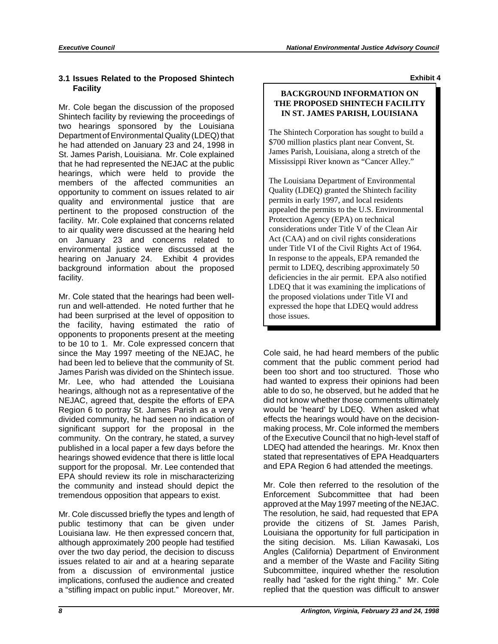### **3.1 Issues Related to the Proposed Shintech Facility**

Mr. Cole began the discussion of the proposed Shintech facility by reviewing the proceedings of two hearings sponsored by the Louisiana Department of Environmental Quality (LDEQ) that he had attended on January 23 and 24, 1998 in St. James Parish, Louisiana. Mr. Cole explained that he had represented the NEJAC at the public hearings, which were held to provide the members of the affected communities an opportunity to comment on issues related to air quality and environmental justice that are pertinent to the proposed construction of the facility. Mr. Cole explained that concerns related to air quality were discussed at the hearing held on January 23 and concerns related to environmental justice were discussed at the hearing on January 24. Exhibit 4 provides background information about the proposed facility.

Mr. Cole stated that the hearings had been wellrun and well-attended. He noted further that he had been surprised at the level of opposition to the facility, having estimated the ratio of opponents to proponents present at the meeting to be 10 to 1. Mr. Cole expressed concern that since the May 1997 meeting of the NEJAC, he had been led to believe that the community of St. James Parish was divided on the Shintech issue. Mr. Lee, who had attended the Louisiana hearings, although not as a representative of the NEJAC, agreed that, despite the efforts of EPA Region 6 to portray St. James Parish as a very divided community, he had seen no indication of significant support for the proposal in the community. On the contrary, he stated, a survey published in a local paper a few days before the hearings showed evidence that there is little local support for the proposal. Mr. Lee contended that EPA should review its role in mischaracterizing the community and instead should depict the tremendous opposition that appears to exist.

Mr. Cole discussed briefly the types and length of public testimony that can be given under Louisiana law. He then expressed concern that, although approximately 200 people had testified over the two day period, the decision to discuss issues related to air and at a hearing separate from a discussion of environmental justice implications, confused the audience and created a "stifling impact on public input." Moreover, Mr.

**Exhibit 4** 

### **BACKGROUND INFORMATION ON THE PROPOSED SHINTECH FACILITY IN ST. JAMES PARISH, LOUISIANA**

The Shintech Corporation has sought to build a \$700 million plastics plant near Convent, St. James Parish, Louisiana, along a stretch of the Mississippi River known as "Cancer Alley."

The Louisiana Department of Environmental Quality (LDEQ) granted the Shintech facility permits in early 1997, and local residents appealed the permits to the U.S. Environmental Protection Agency (EPA) on technical considerations under Title V of the Clean Air Act (CAA) and on civil rights considerations under Title VI of the Civil Rights Act of 1964. In response to the appeals, EPA remanded the permit to LDEQ, describing approximately 50 deficiencies in the air permit. EPA also notified LDEQ that it was examining the implications of the proposed violations under Title VI and expressed the hope that LDEQ would address those issues.

Cole said, he had heard members of the public comment that the public comment period had been too short and too structured. Those who had wanted to express their opinions had been able to do so, he observed, but he added that he did not know whether those comments ultimately would be 'heard' by LDEQ. When asked what effects the hearings would have on the decisionmaking process, Mr. Cole informed the members of the Executive Council that no high-level staff of LDEQ had attended the hearings. Mr. Knox then stated that representatives of EPA Headquarters and EPA Region 6 had attended the meetings.

Mr. Cole then referred to the resolution of the Enforcement Subcommittee that had been approved at the May 1997 meeting of the NEJAC. The resolution, he said, had requested that EPA provide the citizens of St. James Parish, Louisiana the opportunity for full participation in the siting decision. Ms. Lilian Kawasaki, Los Angles (California) Department of Environment and a member of the Waste and Facility Siting Subcommittee, inquired whether the resolution really had "asked for the right thing." Mr. Cole replied that the question was difficult to answer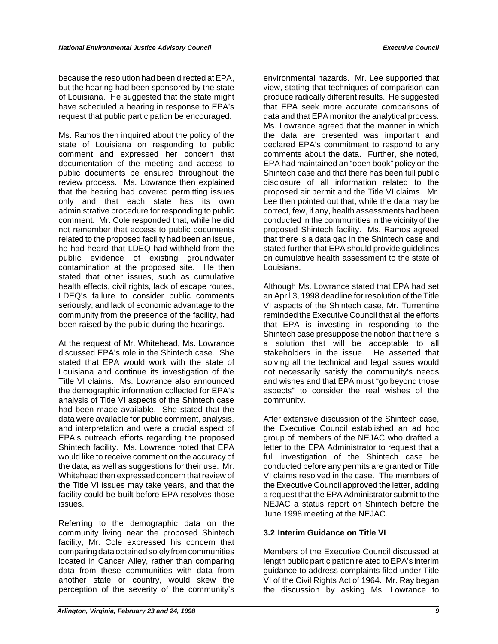because the resolution had been directed at EPA, environmental hazards. Mr. Lee supported that but the hearing had been sponsored by the state view, stating that techniques of comparison can of Louisiana. He suggested that the state might produce radically different results. He suggested have scheduled a hearing in response to EPA's that EPA seek more accurate comparisons of request that public participation be encouraged. data and that EPA monitor the analytical process.

Ms. Ramos then inquired about the policy of the the data are presented was important and state of Louisiana on responding to public declared EPA's commitment to respond to any comment and expressed her concern that comments about the data. Further, she noted, comment and expressed her concern that documentation of the meeting and access to EPA had maintained an "open book" policy on the public documents be ensured throughout the Shintech case and that there has been full public review process. Ms. Lowrance then explained disclosure of all information related to the that the hearing had covered permitting issues proposed air permit and the Title VI claims. Mr. that the hearing had covered permitting issues<br>only and that each state has its own. administrative procedure for responding to public correct, few, if any, health assessments had been comment. Mr. Cole responded that, while he did conducted in the communities in the vicinity of the not remember that access to public documents proposed Shintech facility. Ms. Ramos agreed related to the proposed facility had been an issue, that there is a data gap in the Shintech case and he had heard that LDEQ had withheld from the stated further that EPA should provide quidelines public evidence of existing groundwater on cumulative health assessment to the state of contamination at the proposed site. He then Louisiana. stated that other issues, such as cumulative health effects, civil rights, lack of escape routes, LDEQ's failure to consider public comments an April 3, 1998 deadline for resolution of the Title seriously, and lack of economic advantage to the VI aspects of the Shintech case, Mr. Turrentine community from the presence of the facility, had reminded the Executive Council that all the efforts been raised by the public during the hearings. That EPA is investing in responding to the

At the request of Mr. Whitehead, Ms. Lowrance a solution that will be acceptable to all discussed EPA's role in the Shintech case. She stakeholders in the issue. He asserted that stated that EPA would work with the state of solving all the technical and legal issues would Louisiana and continue its investigation of the not necessarily satisfy the community's needs Title VI claims. Ms. Lowrance also announced and wishes and that EPA must "go beyond those the demographic information collected for EPA's aspects" to consider the real wishes of the analysis of Title VI aspects of the Shintech case community. had been made available. She stated that the data were available for public comment, analysis, After extensive discussion of the Shintech case, and interpretation and were a crucial aspect of the Executive Council established an ad hoc EPA's outreach efforts regarding the proposed group of members of the NEJAC who drafted a<br>Shintech facility. Ms. Lowrance noted that EPA letter to the EPA Administrator to request that a would like to receive comment on the accuracy of full investigation of the Shintech case be the data, as well as suggestions for their use. Mr. conducted before any permits are granted or Title Whitehead then expressed concern that review of VI claims resolved in the case. The members of the Title VI issues may take years, and that the the Executive Council approved the letter, adding facility could be built before EPA resolves those a request that the EPA Administrator submit to the issues. NEJAC a status report on Shintech before the

Referring to the demographic data on the community living near the proposed Shintech **3.2 Interim Guidance on Title VI**  facility, Mr. Cole expressed his concern that comparing data obtained solely from communities Members of the Executive Council discussed at<br>
located in Cancer Alley, rather than comparing length public participation related to EPA's interim data from these communities with data from guidance to address complaints filed under Title another state or country, would skew the VI of the Civil Rights Act of 1964. Mr. Ray began perception of the severity of the community's the discussion by asking Ms. Lowrance to

Ms. Lowrance agreed that the manner in which Lee then pointed out that, while the data may be

Although Ms. Lowrance stated that EPA had set Shintech case presuppose the notion that there is stakeholders in the issue. He asserted that

letter to the EPA Administrator to request that a June 1998 meeting at the NEJAC.

length public participation related to EPA's interim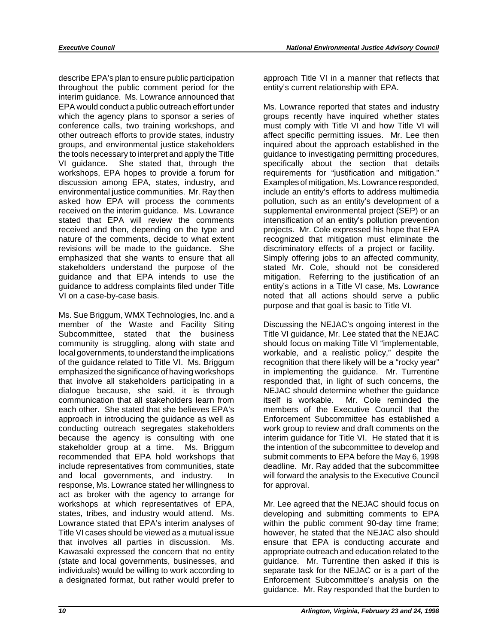describe EPA's plan to ensure public participation throughout the public comment period for the interim guidance. Ms. Lowrance announced that EPA would conduct a public outreach effort under which the agency plans to sponsor a series of conference calls, two training workshops, and other outreach efforts to provide states, industry groups, and environmental justice stakeholders the tools necessary to interpret and apply the Title VI guidance. She stated that, through the workshops, EPA hopes to provide a forum for discussion among EPA, states, industry, and environmental justice communities. Mr. Ray then asked how EPA will process the comments received on the interim guidance. Ms. Lowrance stated that EPA will review the comments received and then, depending on the type and nature of the comments, decide to what extent revisions will be made to the guidance. She emphasized that she wants to ensure that all stakeholders understand the purpose of the guidance and that EPA intends to use the guidance to address complaints filed under Title VI on a case-by-case basis.

Ms. Sue Briggum, WMX Technologies, Inc. and a member of the Waste and Facility Siting Subcommittee, stated that the business community is struggling, along with state and local governments, to understand the implications of the guidance related to Title VI. Ms. Briggum emphasized the significance of having workshops that involve all stakeholders participating in a dialogue because, she said, it is through communication that all stakeholders learn from each other. She stated that she believes EPA's approach in introducing the guidance as well as conducting outreach segregates stakeholders because the agency is consulting with one stakeholder group at a time. Ms. Briggum recommended that EPA hold workshops that include representatives from communities, state and local governments, and industry. In response, Ms. Lowrance stated her willingness to act as broker with the agency to arrange for workshops at which representatives of EPA, states, tribes, and industry would attend. Ms. Lowrance stated that EPA's interim analyses of Title VI cases should be viewed as a mutual issue that involves all parties in discussion. Ms. Kawasaki expressed the concern that no entity (state and local governments, businesses, and individuals) would be willing to work according to a designated format, but rather would prefer to

approach Title VI in a manner that reflects that entity's current relationship with EPA.

Ms. Lowrance reported that states and industry groups recently have inquired whether states must comply with Title VI and how Title VI will affect specific permitting issues. Mr. Lee then inquired about the approach established in the guidance to investigating permitting procedures, specifically about the section that details requirements for "justification and mitigation." Examples of mitigation, Ms. Lowrance responded, include an entity's efforts to address multimedia pollution, such as an entity's development of a supplemental environmental project (SEP) or an intensification of an entity's pollution prevention projects. Mr. Cole expressed his hope that EPA recognized that mitigation must eliminate the discriminatory effects of a project or facility. Simply offering jobs to an affected community, stated Mr. Cole, should not be considered mitigation. Referring to the justification of an entity's actions in a Title VI case, Ms. Lowrance noted that all actions should serve a public purpose and that goal is basic to Title VI.

Discussing the NEJAC's ongoing interest in the Title VI guidance, Mr. Lee stated that the NEJAC should focus on making Title VI "implementable, workable, and a realistic policy," despite the recognition that there likely will be a "rocky year" in implementing the guidance. Mr. Turrentine responded that, in light of such concerns, the NEJAC should determine whether the guidance itself is workable. Mr. Cole reminded the members of the Executive Council that the Enforcement Subcommittee has established a work group to review and draft comments on the interim guidance for Title VI. He stated that it is the intention of the subcommittee to develop and submit comments to EPA before the May 6, 1998 deadline. Mr. Ray added that the subcommittee will forward the analysis to the Executive Council for approval.

Mr. Lee agreed that the NEJAC should focus on developing and submitting comments to EPA within the public comment 90-day time frame; however, he stated that the NEJAC also should ensure that EPA is conducting accurate and appropriate outreach and education related to the guidance. Mr. Turrentine then asked if this is separate task for the NEJAC or is a part of the Enforcement Subcommittee's analysis on the guidance. Mr. Ray responded that the burden to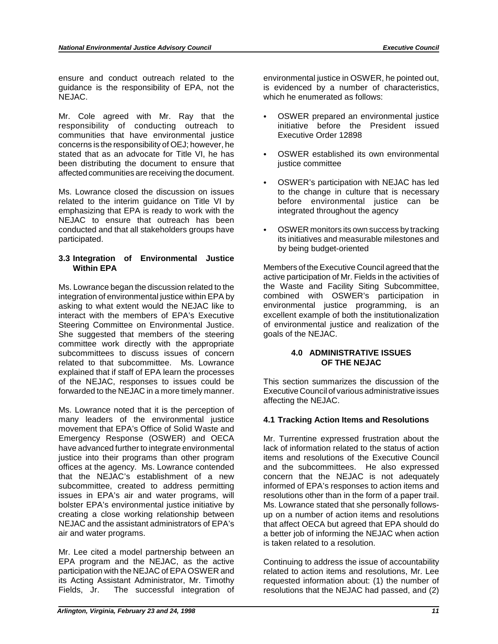ensure and conduct outreach related to the environmental justice in OSWER, he pointed out, guidance is the responsibility of EPA, not the is evidenced by a number of characteristics, NEJAC. which he enumerated as follows:

Mr. Cole agreed with Mr. Ray that the responsibility of conducting outreach to communities that have environmental justice concerns is the responsibility of OEJ; however, he stated that as an advocate for Title VI, he has been distributing the document to ensure that affected communities are receiving the document.

Ms. Lowrance closed the discussion on issues related to the interim guidance on Title VI by emphasizing that EPA is ready to work with the NEJAC to ensure that outreach has been conducted and that all stakeholders groups have ` participated.

### **3.3 Integration of Environmental Justice Within EPA**

integration of environmental justice within EPA by combined with OSWER's participation in asking to what extent would the NEJAC like to environmental justice programming, is an interact with the members of EPA's Executive excellent example of both the institutionalization<br>Steering Committee on Environmental Justice. of environmental justice and realization of the Steering Committee on Environmental Justice. She suggested that members of the steering goals of the NEJAC. committee work directly with the appropriate subcommittees to discuss issues of concern **4.0 ADMINISTRATIVE ISSUES** related to that subcommittee. Ms. Lowrance **OF THE NEJAC** explained that if staff of EPA learn the processes of the NEJAC, responses to issues could be This section summarizes the discussion of the forwarded to the NEJAC in a more timely manner. Executive Council of various administrative issues

Ms. Lowrance noted that it is the perception of many leaders of the environmental justice **4.1 Tracking Action Items and Resolutions**  movement that EPA's Office of Solid Waste and Emergency Response (OSWER) and OECA Mr. Turrentine expressed frustration about the have advanced further to integrate environmental lack of information related to the status of action justice into their programs than other program items and resolutions of the Executive Council<br>offices at the agency. Ms. Lowrance contended and the subcommittees. He also expressed offices at the agency. Ms. Lowrance contended and the subcommittees. He also expressed that the NEJAC's establishment of a new concern that the NEJAC is not adequately subcommittee, created to address permitting informed of EPA's responses to action items and issues in EPA's air and water programs, will resolutions other than in the form of a paper trail. bolster EPA's environmental justice initiative by Ms. Lowrance stated that she personally follows-<br>creating a close working relationship between up on a number of action items and resolutions creating a close working relationship between up on a number of action items and resolutions<br>NEJAC and the assistant administrators of EPA's that affect OECA but agreed that EPA should do air and water programs. a better job of informing the NEJAC when action

Mr. Lee cited a model partnership between an EPA program and the NEJAC, as the active Continuing to address the issue of accountability participation with the NEJAC of EPA OSWER and related to action items and resolutions, Mr. Lee its Acting Assistant Administrator, Mr. Timothy requested information about: (1) the number of Fields, Jr. The successful integration of resolutions that the NEJAC had passed, and (2) Fields, Jr. The successful integration of resolutions that the NEJAC had passed, and (2)

- OSWER prepared an environmental justice initiative before the President issued Executive Order 12898
- OSWER established its own environmental justice committee
- ` OSWER's participation with NEJAC has led to the change in culture that is necessary before environmental justice can be integrated throughout the agency
- OSWER monitors its own success by tracking its initiatives and measurable milestones and by being budget-oriented

Members of the Executive Council agreed that the active participation of Mr. Fields in the activities of Ms. Lowrance began the discussion related to the the Waste and Facility Siting Subcommittee,

affecting the NEJAC.

lack of information related to the status of action concern that the NEJAC is not adequately resolutions other than in the form of a paper trail. that affect OECA but agreed that EPA should do is taken related to a resolution.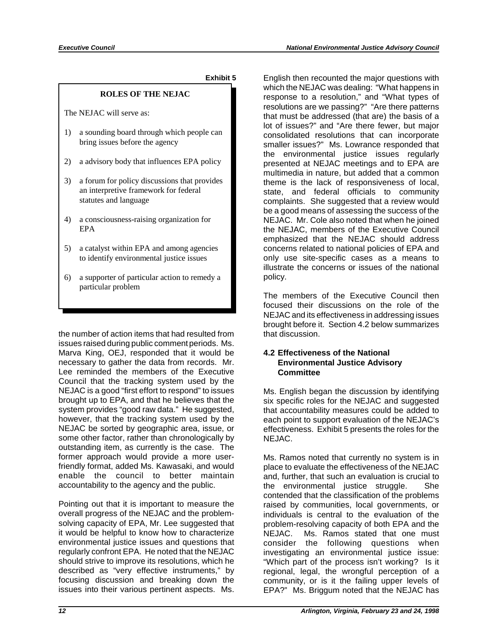**Exhibit 5** 

### **ROLES OF THE NEJAC**

The NEJAC will serve as:

- 1) a sounding board through which people can bring issues before the agency
- 2) a advisory body that influences EPA policy
- 3) a forum for policy discussions that provides an interpretive framework for federal statutes and language
- 4) a consciousness-raising organization for EPA
- 5) a catalyst within EPA and among agencies to identify environmental justice issues
- 6) a supporter of particular action to remedy a particular problem

the number of action items that had resulted from issues raised during public comment periods. Ms. Marva King, OEJ, responded that it would be necessary to gather the data from records. Mr. Lee reminded the members of the Executive Council that the tracking system used by the NEJAC is a good "first effort to respond" to issues brought up to EPA, and that he believes that the system provides "good raw data." He suggested, however, that the tracking system used by the NEJAC be sorted by geographic area, issue, or some other factor, rather than chronologically by outstanding item, as currently is the case. The former approach would provide a more userfriendly format, added Ms. Kawasaki, and would enable the council to better maintain accountability to the agency and the public.

Pointing out that it is important to measure the overall progress of the NEJAC and the problemsolving capacity of EPA, Mr. Lee suggested that it would be helpful to know how to characterize environmental justice issues and questions that regularly confront EPA. He noted that the NEJAC should strive to improve its resolutions, which he described as "very effective instruments," by focusing discussion and breaking down the issues into their various pertinent aspects. Ms.

English then recounted the major questions with which the NEJAC was dealing: "What happens in response to a resolution," and "What types of resolutions are we passing?" "Are there patterns that must be addressed (that are) the basis of a lot of issues?" and "Are there fewer, but major consolidated resolutions that can incorporate smaller issues?" Ms. Lowrance responded that the environmental justice issues regularly presented at NEJAC meetings and to EPA are multimedia in nature, but added that a common theme is the lack of responsiveness of local, state, and federal officials to community complaints. She suggested that a review would be a good means of assessing the success of the NEJAC. Mr. Cole also noted that when he joined the NEJAC, members of the Executive Council emphasized that the NEJAC should address concerns related to national policies of EPA and only use site-specific cases as a means to illustrate the concerns or issues of the national policy.

The members of the Executive Council then focused their discussions on the role of the NEJAC and its effectiveness in addressing issues brought before it. Section 4.2 below summarizes that discussion.

### **4.2 Effectiveness of the National Environmental Justice Advisory Committee**

Ms. English began the discussion by identifying six specific roles for the NEJAC and suggested that accountability measures could be added to each point to support evaluation of the NEJAC's effectiveness. Exhibit 5 presents the roles for the NEJAC.

Ms. Ramos noted that currently no system is in place to evaluate the effectiveness of the NEJAC and, further, that such an evaluation is crucial to the environmental justice struggle. She contended that the classification of the problems raised by communities, local governments, or individuals is central to the evaluation of the problem-resolving capacity of both EPA and the NEJAC. Ms. Ramos stated that one must consider the following questions when investigating an environmental justice issue: "Which part of the process isn't working? Is it regional, legal, the wrongful perception of a community, or is it the failing upper levels of EPA?" Ms. Briggum noted that the NEJAC has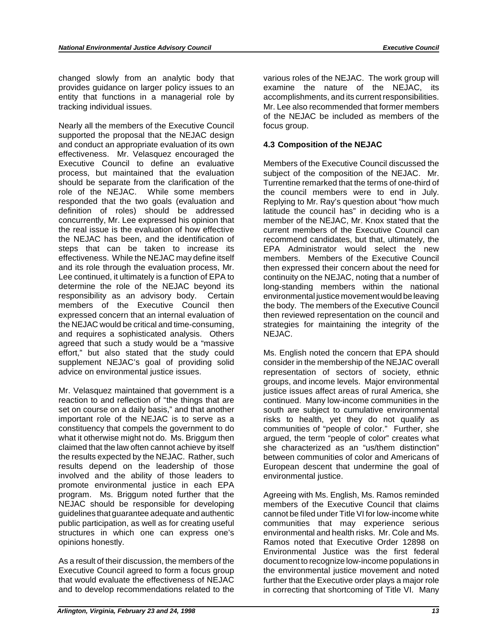changed slowly from an analytic body that various roles of the NEJAC. The work group will provides guidance on larger policy issues to an examine the nature of the NEJAC, its entity that functions in a managerial role by accomplishments, and its current responsibilities. tracking individual issues. Mr. Lee also recommended that former members

Nearly all the members of the Executive Council focus group. supported the proposal that the NEJAC design and conduct an appropriate evaluation of its own **4.3 Composition of the NEJAC**  effectiveness. Mr. Velasquez encouraged the Executive Council to define an evaluative Members of the Executive Council discussed the process, but maintained that the evaluation subject of the composition of the NEJAC. Mr. should be separate from the clarification of the Turrentine remarked that the terms of one-third of role of the NEJAC. While some members the council members were to end in July. role of the NEJAC. While some members the council members were to end in July.<br>responded that the two goals (evaluation and Replying to Mr. Ray's question about "how much definition of roles) should be addressed latitude the council has" in deciding who is a concurrently, Mr. Lee expressed his opinion that member of the NEJAC, Mr. Knox stated that the the real issue is the evaluation of how effective current members of the Executive Council can the NEJAC has been, and the identification of recommend candidates, but that, ultimately, the steps that can be taken to increase its EPA Administrator would select the new effectiveness. While the NEJAC may define itself members. Members of the Executive Council and its role through the evaluation process, Mr. then expressed their concern about the need for Lee continued, it ultimately is a function of EPA to continuity on the NEJAC, noting that a number of determine the role of the NEJAC beyond its long-standing members within the national determine the role of the NEJAC beyond its long-standing members within the national responsibility as an advisory body. Certain environmental justice movement would be leaving responsibility as an advisory body. Certain environmental justice movement would be leaving<br>members of the Executive Council then the body. The members of the Executive Council expressed concern that an internal evaluation of then reviewed representation on the council and the NEJAC would be critical and time-consuming, strategies for maintaining the integrity of the and requires a sophisticated analysis. Others NEJAC. agreed that such a study would be a "massive effort," but also stated that the study could Ms. English noted the concern that EPA should supplement NEJAC's goal of providing solid consider in the membership of the NEJAC overall advice on environmental justice issues. The representation of sectors of society, ethnic

Mr. Velasquez maintained that government is a justice issues affect areas of rural America, she reaction to and reflection of "the things that are continued. Many low-income communities in the set on course on a daily basis," and that another south are subject to cumulative environmental important role of the NEJAC is to serve as a risks to health, yet they do not qualify as constituency that compels the government to do communities of "people of color." Further, she what it otherwise might not do. Ms. Briggum then argued, the term "people of color" creates what claimed that the law often cannot achieve by itself she characterized as an "us/them distinction"<br>the results expected by the NEJAC. Rather, such between communities of color and Americans of results depend on the leadership of those European descent that undermine the goal of involved and the ability of those leaders to environmental justice. promote environmental justice in each EPA program. Ms. Briggum noted further that the Agreeing with Ms. English, Ms. Ramos reminded NEJAC should be responsible for developing members of the Executive Council that claims guidelines that guarantee adequate and authentic cannot be filed under Title VI for low-income white<br>public participation, as well as for creating useful communities that may experience serious structures in which one can express one's opinions honestly. Ramos noted that Executive Order 12898 on

As a result of their discussion, the members of the document to recognize low-income populations in Executive Council agreed to form a focus group the environmental justice movement and noted that would evaluate the effectiveness of NEJAC further that the Executive order plays a major role and to develop recommendations related to the in correcting that shortcoming of Title VI. Many

of the NEJAC be included as members of the

Replying to Mr. Ray's question about "how much the body. The members of the Executive Council

consider in the membership of the NEJAC overall groups, and income levels. Major environmental between communities of color and Americans of

communities that may experience serious<br>environmental and health risks. Mr. Cole and Ms. Environmental Justice was the first federal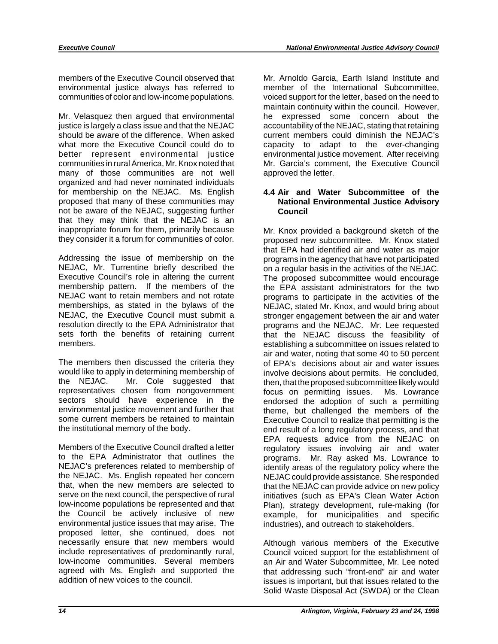members of the Executive Council observed that environmental justice always has referred to communities of color and low-income populations.

Mr. Velasquez then argued that environmental justice is largely a class issue and that the NEJAC should be aware of the difference. When asked what more the Executive Council could do to better represent environmental justice communities in rural America, Mr. Knox noted that many of those communities are not well organized and had never nominated individuals for membership on the NEJAC. Ms. English proposed that many of these communities may not be aware of the NEJAC, suggesting further that they may think that the NEJAC is an inappropriate forum for them, primarily because they consider it a forum for communities of color.

Addressing the issue of membership on the NEJAC, Mr. Turrentine briefly described the Executive Council's role in altering the current membership pattern. If the members of the NEJAC want to retain members and not rotate memberships, as stated in the bylaws of the NEJAC, the Executive Council must submit a resolution directly to the EPA Administrator that sets forth the benefits of retaining current members.

The members then discussed the criteria they would like to apply in determining membership of the NEJAC. Mr. Cole suggested that representatives chosen from nongovernment sectors should have experience in the environmental justice movement and further that some current members be retained to maintain the institutional memory of the body.

Members of the Executive Council drafted a letter to the EPA Administrator that outlines the NEJAC's preferences related to membership of the NEJAC. Ms. English repeated her concern that, when the new members are selected to serve on the next council, the perspective of rural low-income populations be represented and that the Council be actively inclusive of new environmental justice issues that may arise. The proposed letter, she continued, does not necessarily ensure that new members would include representatives of predominantly rural, low-income communities. Several members agreed with Ms. English and supported the addition of new voices to the council.

Mr. Arnoldo Garcia, Earth Island Institute and member of the International Subcommittee, voiced support for the letter, based on the need to maintain continuity within the council. However, he expressed some concern about the accountability of the NEJAC, stating that retaining current members could diminish the NEJAC's capacity to adapt to the ever-changing environmental justice movement. After receiving Mr. Garcia's comment, the Executive Council approved the letter.

### **4.4 Air and Water Subcommittee of the National Environmental Justice Advisory Council**

Mr. Knox provided a background sketch of the proposed new subcommittee. Mr. Knox stated that EPA had identified air and water as major programs in the agency that have not participated on a regular basis in the activities of the NEJAC. The proposed subcommittee would encourage the EPA assistant administrators for the two programs to participate in the activities of the NEJAC, stated Mr. Knox, and would bring about stronger engagement between the air and water programs and the NEJAC. Mr. Lee requested that the NEJAC discuss the feasibility of establishing a subcommittee on issues related to air and water, noting that some 40 to 50 percent of EPA's decisions about air and water issues involve decisions about permits. He concluded, then, that the proposed subcommittee likely would focus on permitting issues. Ms. Lowrance endorsed the adoption of such a permitting theme, but challenged the members of the Executive Council to realize that permitting is the end result of a long regulatory process, and that EPA requests advice from the NEJAC on regulatory issues involving air and water programs. Mr. Ray asked Ms. Lowrance to identify areas of the regulatory policy where the NEJAC could provide assistance. She responded that the NEJAC can provide advice on new policy initiatives (such as EPA's Clean Water Action Plan), strategy development, rule-making (for example, for municipalities and specific industries), and outreach to stakeholders.

Although various members of the Executive Council voiced support for the establishment of an Air and Water Subcommittee, Mr. Lee noted that addressing such "front-end" air and water issues is important, but that issues related to the Solid Waste Disposal Act (SWDA) or the Clean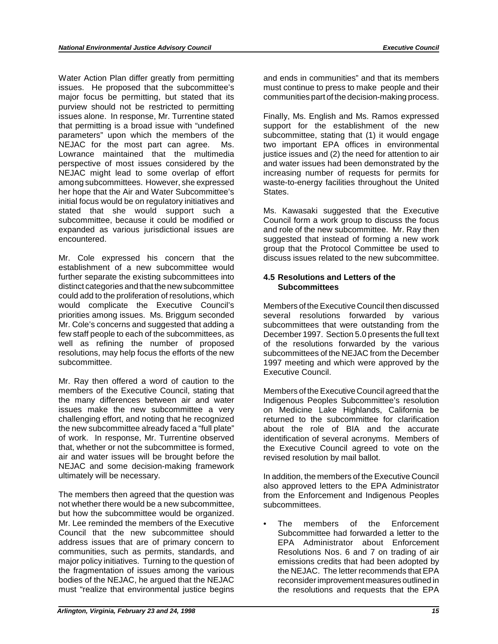Water Action Plan differ greatly from permitting and ends in communities" and that its members issues. He proposed that the subcommittee's must continue to press to make people and their major focus be permitting, but stated that its communities part of the decision-making process. purview should not be restricted to permitting issues alone. In response, Mr. Turrentine stated Finally, Ms. English and Ms. Ramos expressed that permitting is a broad issue with "undefined support for the establishment of the new parameters" upon which the members of the subcommittee, stating that (1) it would engage NEJAC for the most part can agree. Ms. two important EPA offices in environmental Lowrance maintained that the multimedia iustice issues and (2) the need for attention to air perspective of most issues considered by the and water issues had been demonstrated by the NEJAC might lead to some overlap of effort increasing number of requests for permits for among subcommittees. However, she expressed waste-to-energy facilities throughout the United her hope that the Air and Water Subcommittee's States. initial focus would be on regulatory initiatives and stated that she would support such a Ms. Kawasaki suggested that the Executive subcommittee, because it could be modified or Council form a work group to discuss the focus<br>expanded as various iurisdictional issues are and role of the new subcommittee. Mr. Ray then expanded as various jurisdictional issues are encountered. suggested that instead of forming a new work

Mr. Cole expressed his concern that the discuss issues related to the new subcommittee. establishment of a new subcommittee would further separate the existing subcommittees into **4.5 Resolutions and Letters of the**  distinct categories and that the new subcommittee **Subcommittees**  could add to the proliferation of resolutions, which priorities among issues. Ms. Briggum seconded several resolutions forwarded by various<br>Mr. Cole's concerns and suggested that adding a subcommittees that were outstanding from the Mr. Cole's concerns and suggested that adding a subcommittees that were outstanding from the few staff people to each of the subcommittees, as December 1997. Section 5.0 presents the full text well as refining the number of proposed of the resolutions forwarded by the various resolutions, may help focus the efforts of the new subcommittees of the NEJAC from the December resolutions, may help focus the efforts of the new subcommittees of the NEJAC from the December<br>subcommittee. 1997 meeting and which were approved by the

Mr. Ray then offered a word of caution to the members of the Executive Council, stating that Members of the Executive Council agreed that the<br>the many differences between air and water Indigenous Peoples Subcommittee's resolution the many differences between air and water and indigenous Peoples Subcommittee's resolution<br>issues make the new subcommittee a very and Medicine Lake Highlands. California be challenging effort, and noting that he recognized returned to the subcommittee for clarification<br>the new subcommittee already faced a "full plate" about the role of BIA and the accurate the new subcommittee already faced a "full plate" of work. In response, Mr. Turrentine observed of work. In response, Mr. Turrentine observed identification of several acronyms. Members of that whether or not the subcommittee is formed the Executive Council agreed to vote on the air and water issues will be brought before the revised resolution by mail ballot. NEJAC and some decision-making framework ultimately will be necessary. In addition, the members of the Executive Council

The members then agreed that the question was from the Enforcement and Indigenous Peoples not whether there would be a new subcommittee, subcommittees. but how the subcommittee would be organized. Mr. Lee reminded the members of the Executive • The members of the Enforcement Council that the new subcommittee should<br>
address issues that are of primary concern to EPA Administrator about Enforcement communities, such as permits, standards, and Resolutions Nos. 6 and 7 on trading of air major policy initiatives. Turning to the question of emissions credits that had been adopted by the fragmentation of issues among the various the NEJAC. The letter recommends that EPA bodies of the NEJAC, he argued that the NEJAC reconsider improvement measures outlined in<br>must "realize that environmental justice begins the resolutions and requests that the EPA

justice issues and (2) the need for attention to air

group that the Protocol Committee be used to

Members of the Executive Council then discussed December 1997. Section 5.0 presents the full text 1997 meeting and which were approved by the Executive Council.

on Medicine Lake Highlands, California be the Executive Council agreed to vote on the

also approved letters to the EPA Administrator

EPA Administrator about Enforcement the resolutions and requests that the EPA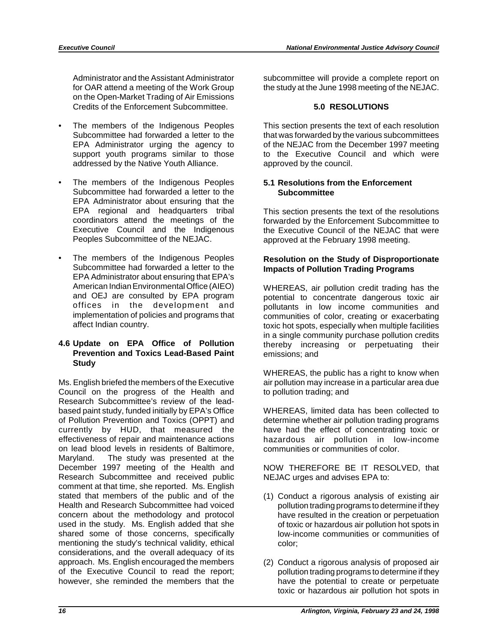Administrator and the Assistant Administrator for OAR attend a meeting of the Work Group on the Open-Market Trading of Air Emissions Credits of the Enforcement Subcommittee.

- The members of the Indigenous Peoples Subcommittee had forwarded a letter to the EPA Administrator urging the agency to support youth programs similar to those addressed by the Native Youth Alliance.
- The members of the Indigenous Peoples Subcommittee had forwarded a letter to the EPA Administrator about ensuring that the EPA regional and headquarters tribal coordinators attend the meetings of the Executive Council and the Indigenous Peoples Subcommittee of the NEJAC.
- The members of the Indigenous Peoples Subcommittee had forwarded a letter to the EPA Administrator about ensuring that EPA's American Indian Environmental Office (AIEO) and OEJ are consulted by EPA program offices in the development and implementation of policies and programs that affect Indian country.

### **4.6 Update on EPA Office of Pollution Prevention and Toxics Lead-Based Paint Study**

Ms. English briefed the members of the Executive Council on the progress of the Health and Research Subcommittee's review of the leadbased paint study, funded initially by EPA's Office of Pollution Prevention and Toxics (OPPT) and currently by HUD, that measured the effectiveness of repair and maintenance actions on lead blood levels in residents of Baltimore, Maryland. The study was presented at the December 1997 meeting of the Health and Research Subcommittee and received public comment at that time, she reported. Ms. English stated that members of the public and of the Health and Research Subcommittee had voiced concern about the methodology and protocol used in the study. Ms. English added that she shared some of those concerns, specifically mentioning the study's technical validity, ethical considerations, and the overall adequacy of its approach. Ms. English encouraged the members of the Executive Council to read the report; however, she reminded the members that the

subcommittee will provide a complete report on the study at the June 1998 meeting of the NEJAC.

### **5.0 RESOLUTIONS**

This section presents the text of each resolution that was forwarded by the various subcommittees of the NEJAC from the December 1997 meeting to the Executive Council and which were approved by the council.

### **5.1 Resolutions from the Enforcement Subcommittee**

This section presents the text of the resolutions forwarded by the Enforcement Subcommittee to the Executive Council of the NEJAC that were approved at the February 1998 meeting.

### **Resolution on the Study of Disproportionate Impacts of Pollution Trading Programs**

WHEREAS, air pollution credit trading has the potential to concentrate dangerous toxic air pollutants in low income communities and communities of color, creating or exacerbating toxic hot spots, especially when multiple facilities in a single community purchase pollution credits thereby increasing or perpetuating their emissions; and

WHEREAS, the public has a right to know when air pollution may increase in a particular area due to pollution trading; and

WHEREAS, limited data has been collected to determine whether air pollution trading programs have had the effect of concentrating toxic or hazardous air pollution in low-income communities or communities of color.

NOW THEREFORE BE IT RESOLVED, that NEJAC urges and advises EPA to:

- (1) Conduct a rigorous analysis of existing air pollution trading programs to determine if they have resulted in the creation or perpetuation of toxic or hazardous air pollution hot spots in low-income communities or communities of color;
- (2) Conduct a rigorous analysis of proposed air pollution trading programs to determine if they have the potential to create or perpetuate toxic or hazardous air pollution hot spots in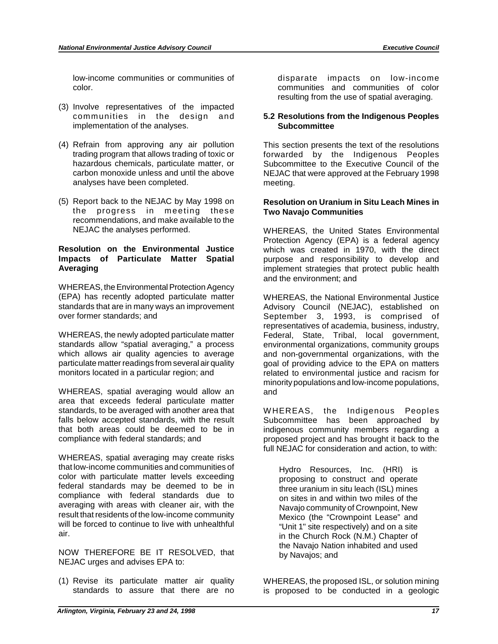low-income communities or communities of color.

- (3) Involve representatives of the impacted communities in the design and implementation of the analyses.
- (4) Refrain from approving any air pollution trading program that allows trading of toxic or hazardous chemicals, particulate matter, or carbon monoxide unless and until the above analyses have been completed.
- (5) Report back to the NEJAC by May 1998 on the progress in meeting these recommendations, and make available to the NEJAC the analyses performed.

### **Resolution on the Environmental Justice Impacts of Particulate Matter Spatial Averaging**

WHEREAS, the Environmental Protection Agency (EPA) has recently adopted particulate matter standards that are in many ways an improvement over former standards; and

WHEREAS, the newly adopted particulate matter standards allow "spatial averaging," a process which allows air quality agencies to average particulate matter readings from several air quality monitors located in a particular region; and

WHEREAS, spatial averaging would allow an area that exceeds federal particulate matter standards, to be averaged with another area that falls below accepted standards, with the result that both areas could be deemed to be in compliance with federal standards; and

WHEREAS, spatial averaging may create risks that low-income communities and communities of color with particulate matter levels exceeding federal standards may be deemed to be in compliance with federal standards due to averaging with areas with cleaner air, with the result that residents of the low-income community will be forced to continue to live with unhealthful air.

NOW THEREFORE BE IT RESOLVED, that NEJAC urges and advises EPA to:

(1) Revise its particulate matter air quality standards to assure that there are no disparate impacts on low-income communities and communities of color resulting from the use of spatial averaging.

### **5.2 Resolutions from the Indigenous Peoples Subcommittee**

This section presents the text of the resolutions forwarded by the Indigenous Peoples Subcommittee to the Executive Council of the NEJAC that were approved at the February 1998 meeting.

### **Resolution on Uranium in Situ Leach Mines in Two Navajo Communities**

WHEREAS, the United States Environmental Protection Agency (EPA) is a federal agency which was created in 1970, with the direct purpose and responsibility to develop and implement strategies that protect public health and the environment; and

WHEREAS, the National Environmental Justice Advisory Council (NEJAC), established on September 3, 1993, is comprised of representatives of academia, business, industry, Federal, State, Tribal, local government, environmental organizations, community groups and non-governmental organizations, with the goal of providing advice to the EPA on matters related to environmental justice and racism for minority populations and low-income populations, and

WHEREAS, the Indigenous Peoples Subcommittee has been approached by indigenous community members regarding a proposed project and has brought it back to the full NEJAC for consideration and action, to with:

Hydro Resources, Inc. (HRI) is proposing to construct and operate three uranium in situ leach (ISL) mines on sites in and within two miles of the Navajo community of Crownpoint, New Mexico (the "Crownpoint Lease" and "Unit 1" site respectively) and on a site in the Church Rock (N.M.) Chapter of the Navajo Nation inhabited and used by Navajos; and

WHEREAS, the proposed ISL, or solution mining is proposed to be conducted in a geologic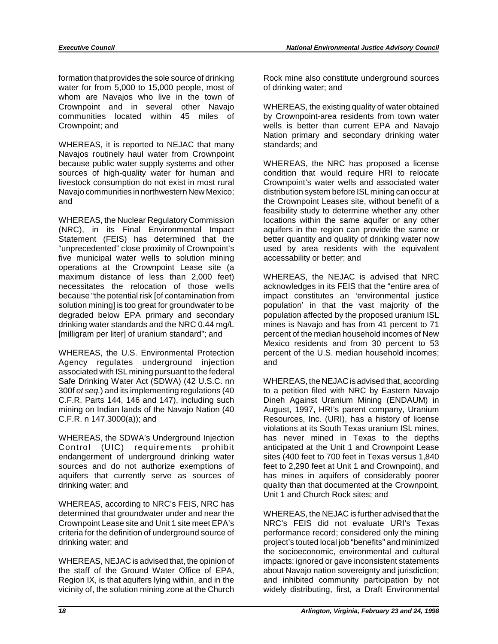formation that provides the sole source of drinking Rock mine also constitute underground sources water for from 5,000 to 15,000 people, most of of drinking water; and whom are Navajos who live in the town of Crownpoint and in several other Navajo WHEREAS, the existing quality of water obtained communities located within 45 miles of by Crownpoint-area residents from town water Crownpoint; and wells is better than current EPA and Navajo

WHEREAS, it is reported to NEJAC that many standards; and Navajos routinely haul water from Crownpoint because public water supply systems and other WHEREAS, the NRC has proposed a license sources of high-quality water for human and condition that would require HRI to relocate livestock consumption do not exist in most rural Crownpoint's water wells and associated water Navajo communities in northwestern New Mexico; distribution system before ISL mining can occur at and the Crownpoint Leases site, without benefit of a

Statement (FEIS) has determined that the better quantity and quality of drinking water now "unprecedented" close proximity of Crownpoint's used by area residents with the equivalent five municipal water wells to solution mining accessability or better; and operations at the Crownpoint Lease site (a maximum distance of less than 2,000 feet) WHEREAS, the NEJAC is advised that NRC necessitates the relocation of those wells acknowledges in its FEIS that the "entire area of because "the potential risk [of contamination from impact constitutes an 'environmental justice solution mining] is too great for groundwater to be population' in that the vast majority of the degraded below EPA primary and secondary population affected by the proposed uranium ISL drinking water standards and the NRC 0.44 mg/L mines is Navajo and has from 41 percent to 71 [milligram per liter] of uranium standard"; and percent of the median household incomes of New

WHEREAS, the U.S. Environmental Protection percent of the U.S. median household incomes; Agency regulates underground injection and associated with ISL mining pursuant to the federal Safe Drinking Water Act (SDWA) (42 U.S.C. nn WHEREAS, the NEJAC is advised that, according 300f *et seq.*) and its implementing regulations (40 to a petition filed with NRC by Eastern Navajo C.F.R. Parts 144, 146 and 147), including such Dineh Against Uranium Mining (ENDAUM) in mining on Indian lands of the Navajo Nation (40 August, 1997, HRI's parent company, Uranium C.F.R. n 147.3000(a)); and Resources, Inc. (URI), has a history of license

Control (UIC) requirements prohibit anticipated at the Unit 1 and Crownpoint Lease endangerment of underground drinking water sites (400 feet to 700 feet in Texas versus 1,840 sources and do not authorize exemptions of feet to 2,290 feet at Unit 1 and Crownpoint), and aquifers that currently serve as sources of has mines in aquifers of considerably poorer drinking water; and quality than that documented at the Crownpoint,

WHEREAS, according to NRC's FEIS, NRC has determined that groundwater under and near the WHEREAS, the NEJAC is further advised that the Crownpoint Lease site and Unit 1 site meet EPA's NRC's FEIS did not evaluate URI's Texas criteria for the definition of underground source of performance record; considered only the mining drinking water; and project's touted local job "benefits" and minimized

the staff of the Ground Water Office of EPA, about Navajo nation sovereignty and jurisdiction; Region IX, is that aquifers lying within, and in the and inhibited community participation by not vicinity of, the solution mining zone at the Church widely distributing, first, a Draft Environmental

Nation primary and secondary drinking water

feasibility study to determine whether any other WHEREAS, the Nuclear Regulatory Commission locations within the same aquifer or any other (NRC), in its Final Environmental Impact aquifers in the region can provide the same or aquifers in the region can provide the same or

> population affected by the proposed uranium ISL Mexico residents and from 30 percent to 53

violations at its South Texas uranium ISL mines, WHEREAS, the SDWA's Underground Injection has never mined in Texas to the depths Unit 1 and Church Rock sites; and

NRC's FEIS did not evaluate URI's Texas the socioeconomic, environmental and cultural WHEREAS, NEJAC is advised that, the opinion of impacts; ignored or gave inconsistent statements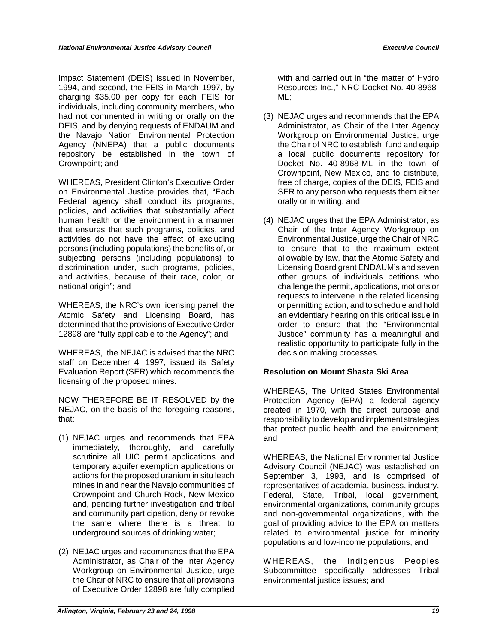Impact Statement (DEIS) issued in November, 1994, and second, the FEIS in March 1997, by charging \$35.00 per copy for each FEIS for individuals, including community members, who had not commented in writing or orally on the DEIS, and by denying requests of ENDAUM and the Navajo Nation Environmental Protection Agency (NNEPA) that a public documents repository be established in the town of Crownpoint; and

WHEREAS, President Clinton's Executive Order on Environmental Justice provides that, "Each Federal agency shall conduct its programs, policies, and activities that substantially affect human health or the environment in a manner that ensures that such programs, policies, and activities do not have the effect of excluding persons (including populations) the benefits of, or subjecting persons (including populations) to discrimination under, such programs, policies, and activities, because of their race, color, or national origin"; and

WHEREAS, the NRC's own licensing panel, the Atomic Safety and Licensing Board, has determined that the provisions of Executive Order 12898 are "fully applicable to the Agency"; and

WHEREAS, the NEJAC is advised that the NRC staff on December 4, 1997, issued its Safety Evaluation Report (SER) which recommends the licensing of the proposed mines.

NOW THEREFORE BE IT RESOLVED by the NEJAC, on the basis of the foregoing reasons, that:

- (1) NEJAC urges and recommends that EPA immediately, thoroughly, and carefully scrutinize all UIC permit applications and temporary aquifer exemption applications or actions for the proposed uranium in situ leach mines in and near the Navajo communities of Crownpoint and Church Rock, New Mexico and, pending further investigation and tribal and community participation, deny or revoke the same where there is a threat to underground sources of drinking water;
- (2) NEJAC urges and recommends that the EPA Administrator, as Chair of the Inter Agency Workgroup on Environmental Justice, urge the Chair of NRC to ensure that all provisions of Executive Order 12898 are fully complied

with and carried out in "the matter of Hydro Resources Inc.," NRC Docket No. 40-8968- ML;

- (3) NEJAC urges and recommends that the EPA Administrator, as Chair of the Inter Agency Workgroup on Environmental Justice, urge the Chair of NRC to establish, fund and equip a local public documents repository for Docket No. 40-8968-ML in the town of Crownpoint, New Mexico, and to distribute, free of charge, copies of the DEIS, FEIS and SER to any person who requests them either orally or in writing; and
- (4) NEJAC urges that the EPA Administrator, as Chair of the Inter Agency Workgroup on Environmental Justice, urge the Chair of NRC to ensure that to the maximum extent allowable by law, that the Atomic Safety and Licensing Board grant ENDAUM's and seven other groups of individuals petitions who challenge the permit, applications, motions or requests to intervene in the related licensing or permitting action, and to schedule and hold an evidentiary hearing on this critical issue in order to ensure that the "Environmental Justice" community has a meaningful and realistic opportunity to participate fully in the decision making processes.

### **Resolution on Mount Shasta Ski Area**

WHEREAS, The United States Environmental Protection Agency (EPA) a federal agency created in 1970, with the direct purpose and responsibility to develop and implement strategies that protect public health and the environment; and

WHEREAS, the National Environmental Justice Advisory Council (NEJAC) was established on September 3, 1993, and is comprised of representatives of academia, business, industry, Federal, State, Tribal, local government, environmental organizations, community groups and non-governmental organizations, with the goal of providing advice to the EPA on matters related to environmental justice for minority populations and low-income populations, and

WHEREAS, the Indigenous Peoples Subcommittee specifically addresses Tribal environmental justice issues; and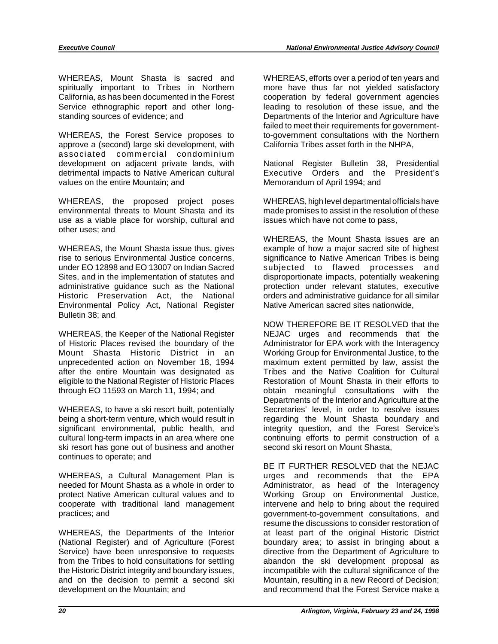WHEREAS, Mount Shasta is sacred and WHEREAS, efforts over a period of ten years and spiritually important to Tribes in Northern more have thus far not yielded satisfactory California, as has been documented in the Forest cooperation by federal government agencies Service ethnographic report and other long- leading to resolution of these issue, and the standing sources of evidence; and Departments of the Interior and Agriculture have

WHEREAS, the Forest Service proposes to to-government consultations with the Northern approve a (second) large ski development, with California Tribes asset forth in the NHPA, associated commercial condominium development on adjacent private lands, with National Register Bulletin 38, Presidential detrimental impacts to Native American cultural Executive Orders and the President's values on the entire Mountain; and Memorandum of April 1994; and

WHEREAS, the proposed project poses WHEREAS, high level departmental officials have environmental threats to Mount Shasta and its made promises to assist in the resolution of these use as a viable place for worship, cultural and issues which have not come to pass, other uses; and

WHEREAS, the Mount Shasta issue thus, gives example of how a major sacred site of highest rise to serious Environmental Justice concerns, significance to Native American Tribes is being under EO 12898 and EO 13007 on Indian Sacred subjected to flawed processes and Sites, and in the implementation of statutes and disproportionate impacts, potentially weakening<br>administrative quidance such as the National protection under relevant statutes, executive administrative guidance such as the National Historic Preservation Act, the National orders and administrative guidance for all similar Environmental Policy Act, National Register Native American sacred sites nationwide, Bulletin 38; and

WHEREAS, the Keeper of the National Register MEJAC urges and recommends that the of Historic Places revised the boundary of the Administrator for EPA work with the Interagency<br>
Mount Shasta Historic District in an Working Group for Environmental Justice, to the Mount Shasta Historic District in an unprecedented action on November 18, 1994 maximum extent permitted by law, assist the after the entire Mountain was designated as Tribes and the Native Coalition for Cultural eligible to the National Register of Historic Places Restoration of Mount Shasta in their efforts to through EO 11593 on March 11, 1994; and obtain meaningful consultations with the

WHEREAS, to have a ski resort built, potentially Secretaries' level, in order to resolve issues being a short-term venture, which would result in regarding the Mount Shasta boundary and significant environmental, public health, and integrity question, and the Forest Service's cultural long-term impacts in an area where one continuing efforts to permit construction of a<br>ski resort has gone out of business and another second ski resort on Mount Shasta. ski resort has gone out of business and another continues to operate; and

needed for Mount Shasta as a whole in order to Administrator, as head of the Interagency protect Native American cultural values and to Working Group on Environmental Justice, cooperate with traditional land management intervene and help to bring about the required practices; and government-to-government consultations, and

WHEREAS, the Departments of the Interior at least part of the original Historic District<br>(National Register) and of Agriculture (Forest boundary area; to assist in bringing about a (National Register) and of Agriculture (Forest boundary area; to assist in bringing about a<br>Service) have been unresponsive to requests directive from the Department of Agriculture to from the Tribes to hold consultations for settling abandon the ski development proposal as the Historic District integrity and boundary issues, incompatible with the cultural significance of the and on the decision to permit a second ski Mountain, resulting in a new Record of Decision; development on the Mountain; and and recommend that the Forest Service make a

failed to meet their requirements for government-

WHEREAS, the Mount Shasta issues are an

NOW THEREFORE BE IT RESOLVED that the Departments of the Interior and Agriculture at the

BE IT FURTHER RESOLVED that the NEJAC WHEREAS, a Cultural Management Plan is urges and recommends that the EPA resume the discussions to consider restoration of directive from the Department of Agriculture to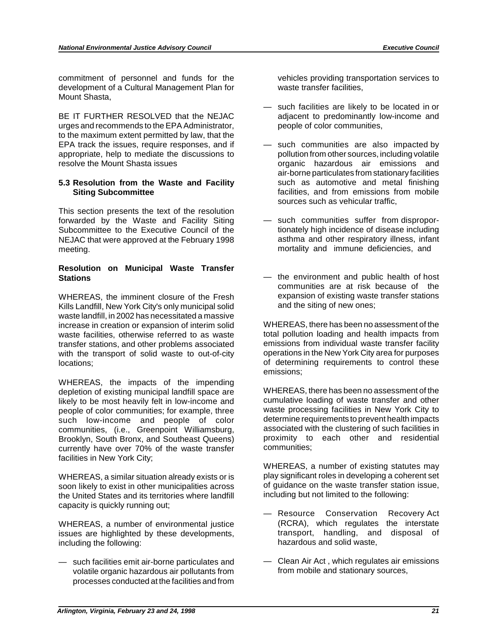commitment of personnel and funds for the vehicles providing transportation services to development of a Cultural Management Plan for waste transfer facilities, Mount Shasta,

urges and recommends to the EPA Administrator, people of color communities, to the maximum extent permitted by law, that the EPA track the issues, require responses, and if  $-$  such communities are also impacted by appropriate, help to mediate the discussions to pollution from other sources, including volatile resolve the Mount Shasta issues **organic hazardous** air emissions and

## **5.3 Resolution from the Waste and Facility** such as automotive and metal finishing

This section presents the text of the resolution forwarded by the Waste and Facility Siting  $-$  such communities suffer from dispropor-<br>Subcommittee to the Executive Council of the strategy into the final incidence of disease including Subcommittee to the Executive Council of the tionately high incidence of disease including<br>NEJAC that were approved at the February 1998 asthma and other respiratory illness, infant NEJAC that were approved at the February 1998 meeting. The contract of the contract of the mortality and immune deficiencies, and

### **Resolution on Municipal Waste Transfer Stations Example 20 —** the environment and public health of host

Kills Landfill, New York City's only municipal solid waste landfill, in 2002 has necessitated a massive increase in creation or expansion of interim solid WHEREAS, there has been no assessment of the waste facilities, otherwise referred to as waste total pollution loading and health impacts from<br>transfer stations and other problems associated emissions from individual waste transfer facility transfer stations, and other problems associated emissions from individual waste transfer facility<br>with the transport of solid waste to out-of-city operations in the New York City area for purposes with the transport of solid waste to out-of-city locations:  $\qquad \qquad$  locations:  $\qquad \qquad$  of determining requirements to control these

WHEREAS, the impacts of the impending depletion of existing municipal landfill space are WHEREAS, there has been no assessment of the likely to be most heavily felt in low-income and cumulative loading of waste transfer and other people of color communities; for example, three waste processing facilities in New York City to<br>such low-income and people of color determine requirements to prevent health impacts such low-income and people of color determine requirements to prevent health impacts<br>communities, (i.e., Greenpoint Williamsburg, associated with the clustering of such facilities in communities, (i.e., Greenpoint Williamsburg, associated with the clustering of such facilities in<br>Brooklyn. South Bronx. and Southeast Queens) proximity to each other and residential Brooklyn, South Bronx, and Southeast Queens) proximity to earned to each other and residential proximity to equivelently have over 70% of the waste transfer currently have over 70% of the waste transfer facilities in New York City;

soon likely to exist in other municipalities across of guidance on the waste transfer station<br>the United States and its territories where landfill including but not limited to the following: the United States and its territories where landfill capacity is quickly running out;

WHEREAS, a number of environmental justice (RCRA), which regulates the interstate issues are highlighted by these developments. issues are highlighted by these developments, including the following:  $h = h \sin \theta$  hazardous and solid waste,

volatile organic hazardous air pollutants from processes conducted at the facilities and from

- such facilities are likely to be located in or BE IT FURTHER RESOLVED that the NEJAC adjacent to predominantly low-income and
	- air-borne particulates from stationary facilities **Siting Subcommittee <b>Siting Subcommittee facilities**, and from emissions from mobile sources such as vehicular traffic,
		-
- communities are at risk because of the WHEREAS, the imminent closure of the Fresh expansion of existing waste transfer stations<br>Kills Landfill New York City's only municipal solid and the siting of new ones:

emissions;

WHEREAS, a number of existing statutes may WHEREAS, a similar situation already exists or is play significant roles in developing a coherent set<br>soon likely to exist in other municipalities across of quidance on the waste transfer station issue.

- Resource Conservation Recovery Act (RCRA), which regulates the interstate
- such facilities emit air-borne particulates and Clean Air Act, which regulates air emissions<br>volatile organic hazardous air pollutants from the from mobile and stationary sources,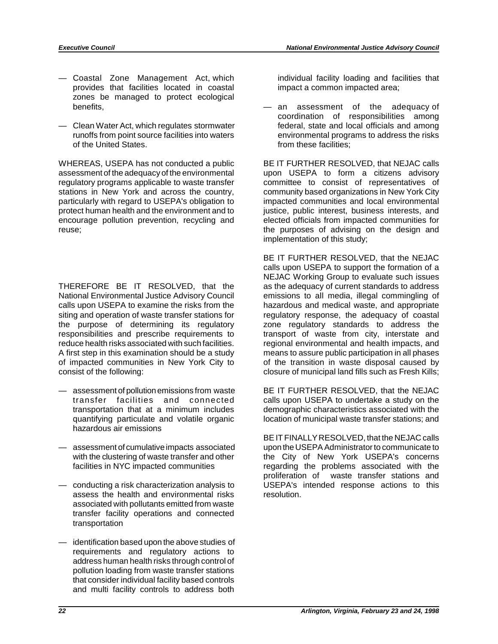- Coastal Zone Management Act, which individual facility loading and facilities that provides that facilities located in coastal impact a common impacted area; zones be managed to protect ecological
- of the United States. The United States of the United States.

WHEREAS, USEPA has not conducted a public BE IT FURTHER RESOLVED, that NEJAC calls assessment of the adequacy of the environmental upon USEPA to form a citizens advisory regulatory programs applicable to waste transfer committee to consist of representatives of stations in New York and across the country, community based organizations in New York City particularly with regard to USEPA's obligation to impacted communities and local environmental protect human health and the environment and to justice, public interest, business interests, and encourage pollution prevention, recycling and elected officials from impacted communities for reuse; the purposes of advising on the design and

THEREFORE BE IT RESOLVED, that the National Environmental Justice Advisory Council emissions to all media, illegal commingling of calls upon USEPA to examine the risks from the hazardous and medical waste, and appropriate siting and operation of waste transfer stations for regulatory response, the adequacy of coastal the purpose of determining its regulatory zone regulatory standards to address the responsibilities and prescribe requirements to transport of waste from city, interstate and reduce health risks associated with such facilities. The gional environmental and health impacts, and A first step in this examination should be a study means to assure public participation in all phases<br>of impacted communities in New York City to of the transition in waste disposal caused by of impacted communities in New York City to consist of the following: consist of the following: consist of the following: consist of the following:

- hazardous air emissions
- $-$  assessment of cumulative impacts associated
- assess the health and environmental risks resolution. associated with pollutants emitted from waste transfer facility operations and connected transportation
- identification based upon the above studies of requirements and regulatory actions to address human health risks through control of pollution loading from waste transfer stations that consider individual facility based controls and multi facility controls to address both

benefits, the contract of the adequacy of the adequacy of the adequacy of the adequacy of coordination of responsibilities among — Clean Water Act, which regulates stormwater federal, state and local officials and among runoffs from point source facilities into waters environmental programs to address the risks

implementation of this study;

BE IT FURTHER RESOLVED, that the NEJAC calls upon USEPA to support the formation of a NEJAC Working Group to evaluate such issues<br>as the adequacy of current standards to address

— assessment of pollution emissions from waste BE IT FURTHER RESOLVED, that the NEJAC transfer facilities and connected calls upon USEPA to undertake a study on the transportation that at a minimum includes demographic characteristics associated with the quantifying particulate and volatile organic location of municipal waste transfer stations; and

BE IT FINALLY RESOLVED, that the NEJAC calls<br>upon the USEPA Administrator to communicate to with the clustering of waste transfer and other the City of New York USEPA's concerns facilities in NYC impacted communities regarding the problems associated with the proliferation of waste transfer stations and — conducting a risk characterization analysis to USEPA's intended response actions to this